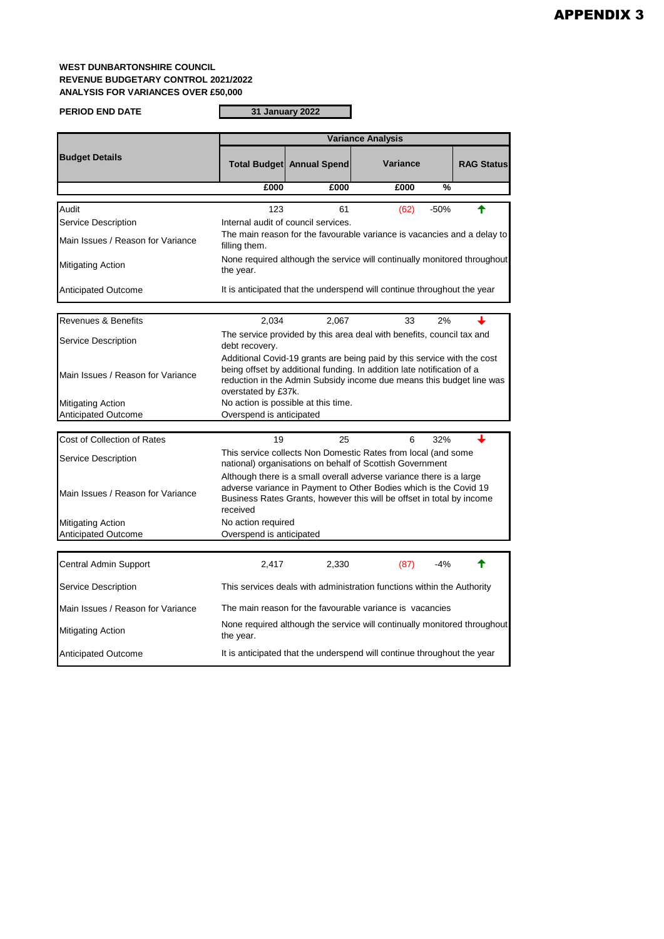## **WEST DUNBARTONSHIRE COUNCIL REVENUE BUDGETARY CONTROL 2021/2022 ANALYSIS FOR VARIANCES OVER £50,000**

**PERIOD END DATE**

**31 January 2022**

Г

|                                   | <b>Variance Analysis</b>                                                                                                                                                                                                                         |                                     |                                                                         |                   |  |
|-----------------------------------|--------------------------------------------------------------------------------------------------------------------------------------------------------------------------------------------------------------------------------------------------|-------------------------------------|-------------------------------------------------------------------------|-------------------|--|
| <b>Budget Details</b>             |                                                                                                                                                                                                                                                  | <b>Total Budget Annual Spend</b>    | Variance                                                                | <b>RAG Status</b> |  |
|                                   | £000                                                                                                                                                                                                                                             | £000                                | £000                                                                    | %                 |  |
| Audit                             | 123                                                                                                                                                                                                                                              | 61                                  | (62)                                                                    | ✦<br>$-50%$       |  |
| Service Description               |                                                                                                                                                                                                                                                  | Internal audit of council services. |                                                                         |                   |  |
| Main Issues / Reason for Variance | The main reason for the favourable variance is vacancies and a delay to<br>filling them.                                                                                                                                                         |                                     |                                                                         |                   |  |
| Mitigating Action                 | None required although the service will continually monitored throughout<br>the year.                                                                                                                                                            |                                     |                                                                         |                   |  |
| <b>Anticipated Outcome</b>        |                                                                                                                                                                                                                                                  |                                     | It is anticipated that the underspend will continue throughout the year |                   |  |
| <b>Revenues &amp; Benefits</b>    | 2,034                                                                                                                                                                                                                                            | 2,067                               | 33                                                                      | 2%                |  |
| Service Description               | debt recovery.                                                                                                                                                                                                                                   |                                     | The service provided by this area deal with benefits, council tax and   |                   |  |
| Main Issues / Reason for Variance | Additional Covid-19 grants are being paid by this service with the cost<br>being offset by additional funding. In addition late notification of a<br>reduction in the Admin Subsidy income due means this budget line was<br>overstated by £37k. |                                     |                                                                         |                   |  |
| <b>Mitigating Action</b>          |                                                                                                                                                                                                                                                  | No action is possible at this time. |                                                                         |                   |  |
| <b>Anticipated Outcome</b>        | Overspend is anticipated                                                                                                                                                                                                                         |                                     |                                                                         |                   |  |
| Cost of Collection of Rates       | 19                                                                                                                                                                                                                                               | 25                                  | 6                                                                       | ┻<br>32%          |  |
| Service Description               | This service collects Non Domestic Rates from local (and some<br>national) organisations on behalf of Scottish Government                                                                                                                        |                                     |                                                                         |                   |  |
| Main Issues / Reason for Variance | Although there is a small overall adverse variance there is a large<br>adverse variance in Payment to Other Bodies which is the Covid 19<br>Business Rates Grants, however this will be offset in total by income<br>received                    |                                     |                                                                         |                   |  |
| <b>Mitigating Action</b>          | No action required                                                                                                                                                                                                                               |                                     |                                                                         |                   |  |
| Anticipated Outcome               | Overspend is anticipated                                                                                                                                                                                                                         |                                     |                                                                         |                   |  |
| Central Admin Support             | 2,417                                                                                                                                                                                                                                            | 2,330                               | (87)                                                                    | $-4%$<br>♠        |  |
| Service Description               | This services deals with administration functions within the Authority                                                                                                                                                                           |                                     |                                                                         |                   |  |
| Main Issues / Reason for Variance | The main reason for the favourable variance is vacancies                                                                                                                                                                                         |                                     |                                                                         |                   |  |
| Mitigating Action                 | None required although the service will continually monitored throughout<br>the year.                                                                                                                                                            |                                     |                                                                         |                   |  |
| <b>Anticipated Outcome</b>        |                                                                                                                                                                                                                                                  |                                     | It is anticipated that the underspend will continue throughout the year |                   |  |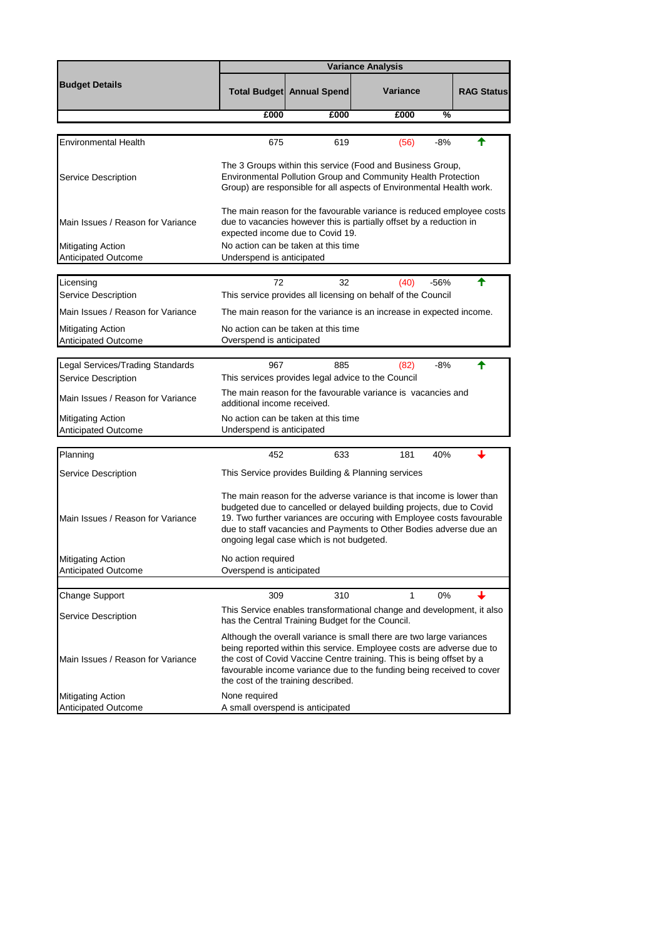|                                                                       | <b>Variance Analysis</b>                                                                                                                                                                                                                                                                                                                                                                        |                                                  |                                                                                  |                   |  |
|-----------------------------------------------------------------------|-------------------------------------------------------------------------------------------------------------------------------------------------------------------------------------------------------------------------------------------------------------------------------------------------------------------------------------------------------------------------------------------------|--------------------------------------------------|----------------------------------------------------------------------------------|-------------------|--|
| <b>Budget Details</b>                                                 |                                                                                                                                                                                                                                                                                                                                                                                                 | Total Budget Annual Spend                        | Variance                                                                         | <b>RAG Status</b> |  |
|                                                                       | £000                                                                                                                                                                                                                                                                                                                                                                                            | £000                                             | %<br>£000                                                                        |                   |  |
| Environmental Health                                                  | 675                                                                                                                                                                                                                                                                                                                                                                                             | 619                                              | -8%<br>(56)                                                                      | ←                 |  |
| Service Description                                                   | The 3 Groups within this service (Food and Business Group,<br>Environmental Pollution Group and Community Health Protection<br>Group) are responsible for all aspects of Environmental Health work.                                                                                                                                                                                             |                                                  |                                                                                  |                   |  |
| Main Issues / Reason for Variance                                     | The main reason for the favourable variance is reduced employee costs<br>due to vacancies however this is partially offset by a reduction in<br>expected income due to Covid 19.                                                                                                                                                                                                                |                                                  |                                                                                  |                   |  |
| <b>Mitigating Action</b><br>Anticipated Outcome                       | No action can be taken at this time<br>Underspend is anticipated                                                                                                                                                                                                                                                                                                                                |                                                  |                                                                                  |                   |  |
| Licensing<br>Service Description<br>Main Issues / Reason for Variance | 72                                                                                                                                                                                                                                                                                                                                                                                              | 32                                               | (40)<br>$-56%$<br>This service provides all licensing on behalf of the Council   | ♠                 |  |
| <b>Mitigating Action</b><br>Anticipated Outcome                       | The main reason for the variance is an increase in expected income.<br>No action can be taken at this time<br>Overspend is anticipated                                                                                                                                                                                                                                                          |                                                  |                                                                                  |                   |  |
|                                                                       |                                                                                                                                                                                                                                                                                                                                                                                                 |                                                  |                                                                                  |                   |  |
| Legal Services/Trading Standards<br><b>Service Description</b>        | 967                                                                                                                                                                                                                                                                                                                                                                                             | 885                                              | -8%<br>(82)<br>This services provides legal advice to the Council                |                   |  |
| Main Issues / Reason for Variance                                     | The main reason for the favourable variance is vacancies and<br>additional income received.                                                                                                                                                                                                                                                                                                     |                                                  |                                                                                  |                   |  |
| <b>Mitigating Action</b><br>Anticipated Outcome                       | No action can be taken at this time<br>Underspend is anticipated                                                                                                                                                                                                                                                                                                                                |                                                  |                                                                                  |                   |  |
| Planning                                                              | 452                                                                                                                                                                                                                                                                                                                                                                                             | 633                                              | 181<br>40%                                                                       |                   |  |
|                                                                       |                                                                                                                                                                                                                                                                                                                                                                                                 |                                                  |                                                                                  |                   |  |
| Service Description<br>Main Issues / Reason for Variance              | This Service provides Building & Planning services<br>The main reason for the adverse variance is that income is lower than<br>budgeted due to cancelled or delayed building projects, due to Covid<br>19. Two further variances are occuring with Employee costs favourable<br>due to staff vacancies and Payments to Other Bodies adverse due an<br>ongoing legal case which is not budgeted. |                                                  |                                                                                  |                   |  |
| <b>Mitigating Action</b><br><b>Anticipated Outcome</b>                | No action required<br>Overspend is anticipated                                                                                                                                                                                                                                                                                                                                                  |                                                  |                                                                                  |                   |  |
|                                                                       |                                                                                                                                                                                                                                                                                                                                                                                                 |                                                  |                                                                                  |                   |  |
| Change Support                                                        | 309                                                                                                                                                                                                                                                                                                                                                                                             | 310                                              | 0%<br>1<br>This Service enables transformational change and development, it also |                   |  |
| Service Description                                                   |                                                                                                                                                                                                                                                                                                                                                                                                 | has the Central Training Budget for the Council. |                                                                                  |                   |  |
| Main Issues / Reason for Variance                                     | Although the overall variance is small there are two large variances<br>being reported within this service. Employee costs are adverse due to<br>the cost of Covid Vaccine Centre training. This is being offset by a<br>favourable income variance due to the funding being received to cover<br>the cost of the training described.                                                           |                                                  |                                                                                  |                   |  |
| <b>Mitigating Action</b>                                              | None required                                                                                                                                                                                                                                                                                                                                                                                   |                                                  |                                                                                  |                   |  |
| Anticipated Outcome                                                   | A small overspend is anticipated                                                                                                                                                                                                                                                                                                                                                                |                                                  |                                                                                  |                   |  |